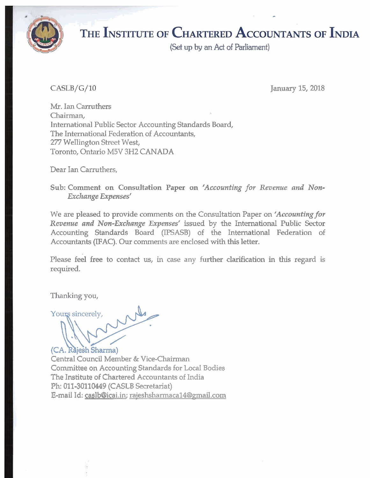

**(Set up** by an **Ad** of Parliament)

### $CASLB/G/10$

January 15,2018

Mr. Ian Carruthers Chairman, International Public Sector Accounting Standards Board, The International Federation of Accountants, 277 Wellington Street West, Toronto, Ontario M5V 3H2 CANADA

Dear Ian Carruthers,

Sub: Comment on Consultation *Paper* on *'Accounting for Revenue and Non-Exchange Expenses'* 

We are pleased to provide comments on the Consultation Paper on *'Accounting for Revenue and Non-Exchange Expenses'* issued by the International Public Sector Accounting Standards Board (IPSASB) of the International Federation of Accountants (IFAC). Our comments are enclosed with **this** letter.

Please feel free to contact us, in case any further clarification in this regard is required.

Thanking you,

'ou que a construction de la propie (CA. Rajesh Sharma)

Central Council Member & Vice-Chairman Committee on Accounting Standards for Local Bodies The Institute of Chartered Accountants of India Ph: **011-30110449** (CASLB Secretariat) E-mail Id: caslb@icai.in; raieshsharmacal4@mail.com -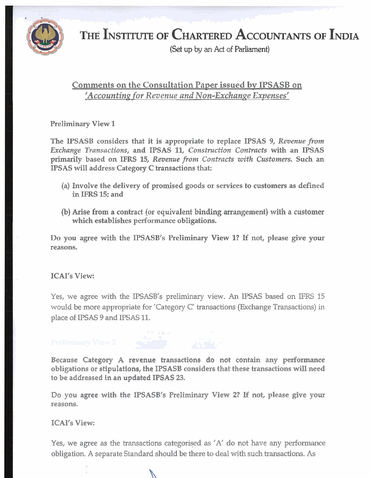

(Set up by an Act of Parliament)

### Comments on the Consultation Paper issued by IPSASB on 'Accounting for Revenue and Non-Exchange Expenses'

Preliminary View **1** 

The IPSASB considers that it is appropriate to replace IPSAS 9, *Revenue from Exchange Transactions,* and IPSAS **11,** *Construction Contracts* with an IPSAS primarily based on IFRS **15,** *Revenue from Contracts with Customers.* Such *an*  IPSAS will address Category C transactions that:

- (a) Involve the delivery of promised goods or services to customers as defined in IFRS **15:** and
- (b) Arise from a contract (or equivalent binding arrangement) with a customer which establishes performance obligations.

Do you agree with the IPSASB's Preliminary View **I?** If not, please give your reasons.

### ICAI's View:

Yes, we agree with the IPSASB's preliminary view. An IPSAS based on IFRS 15 would be more appropriate for 'Category C' transactions (Exchange Transactions) in place of IPSAS 9 and IPSAS 11. . . **I L** .- . **A- <sup>w</sup>**

Because Category A revenue transactions do not contain any performance obligations or stipulations, the IPSASB considers that these transactions will need to be addressed in an updated IPSAS 23.

Do you agree with the IPSASB's Preliminary View **2?** If not, please give your reasons.

### ICAI's View:

Yes, we agree as the transactions categorised as  $'A'$  do not have any performance obligation. A separate Standard should be there to deal with such transactions. As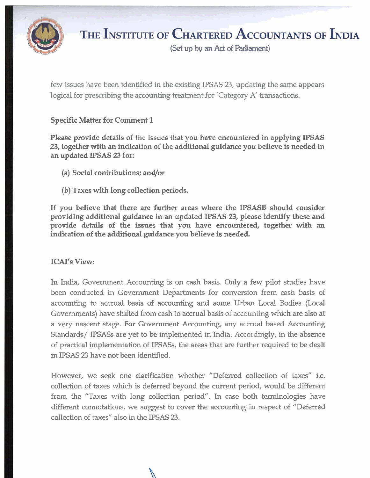

(Set **up** by an **Act** of Parliament)

few issues have been identified in the existing IPSAS 23, updating the same appears logical for prescribing the accounting treatment for 'Category A' transactions.

### Specific Matter for Comment 1

Please provide details of the issues that you have encountered in applying IPSAS 23, together with an indication of the additional guidance you believe is needed in an updated IPSAS 23 for:

- (a) Social contributions; and/or
- (b) Taxes with long collection periods.

If you believe that there are further areas where the IPSASB should consider providing additional guidance in an updated IPSAS 23, please identify these and provide details of the issues that you have encountered, together with an indication of the additional guidance you believe is needed.

### ICAI's View:

In India, Government Accounting is on cash basis. Only a few pilot studies have been conducted in Government Departments for conversion from cash basis of accounting to accrual basis of accounting and some Urban Local Bodies (Local Governments) have shifted from cash to accrual basis of accounting which are also at a very nascent stage. For Government Accounting, any accrual based Accounting Standards/ IPSASs are yet to be implemented in India. Accordingly, in the absence of practical implementation of IPSASs, the areas that are further required to be dealt in IPSAS 23 have not been identified.

However, we seek one clarification whether "Deferred collection of taxes" i.e. collection of taxes which is deferred beyond the current period, would be different from the "Taxes with long collection period". In case both terminologies have different connotations, we suggest to cover the accounting in respect of "Deferred collection of taxes" also in the IPSAS 23.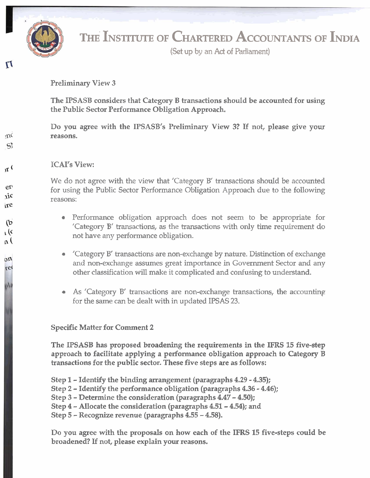

 $\mathbf{u}$ 

 $nC$  $S$ 

 $\mathfrak{r}$ 

 $e^{t}$  $\dot{M}$ ire

 $(b)$  $\mathfrak{c}$  $n($ 

on re

ala

# **THE INSTITUTE OF CHARTERED ACCOUNTANTS OF INDIA**

**(Set up** by an **Act** of Parliament)

Preliminary View 3

The IPSASB considers that Category B transactions should be accounted for using the Public Sector Performance Obligation Approach.

Do you agree with the IPSASB's Preliminary View **3?** If not, please give your reasons.

### ICAI's View

We do not agree with the view that 'Category B' transactions should be accounted for using the Public Sector Performance Obligation Approach due to the following reasons:

- Performance obligation approach does not seem to be appropriate for 'Category B' transactions, as the transactions with only time requirement do not have any performance obligation.
- 'Category B' transactions are non-exchange by nature. Distinction of exchange  $\qquad \qquad \bullet$ and non-exchange assumes great importance in Government Sector and any other classification will make it complicated and confusing to understand.
- As 'Category B' transactions are non-exchange transactions, the accounting  $\bullet$ for the same can be dealt with in updated IPSAS 23.

### Specific Matter for Comment **2**

The IPSASB has proposed broadening the requirements in the **IFRS** 15 five-step approach to facilitate applying a performance obligation approach to Category B transactions for the public sector. These five steps are as follows:

- Step 1 Identify the binding arrangement (paragraphs **4.29 4.35);**
- Step **2**  Identify the performance obligation (paragraphs **4.36 4.46);**
- Step **3**  Determine the consideration (paragraphs **4.47 4.50);**
- Step **4**  Allocate the consideration (paragraphs **4.51 4.54);** and
- Step **5** -Recognize revenue (paragraphs **4.55**  4.58).

Do you agree with the proposals on how each of the IFRS 15 five-steps could be broadened? If not, please explain your reasons.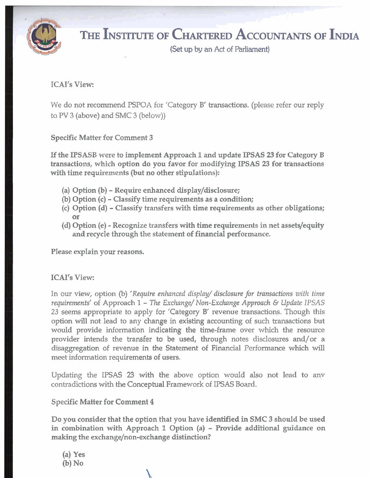

**(Set up** by an Act of Parliament)

### ICAI's View:

We do not recommend PSPOA for 'Category B' transactions. (please refer our reply to PV 3 (above) and SMC 3 (below))

Specific Matter for Comment 3

If the IPSASB were to implement Approach 1 and update IPSAS 23 for Category B transactions, which option do you favor for modifying IPSAS 23 for transactions with time requirements (but no other stipulations):

- (a) Option (b) Require enhanced display/disclosure;
- (b) Option (c) Classify time requirements as a condition;
- (c) Option (d) Classify transfers with time requirements as other obligations; or
- (d) Option (e) Recognize transfers with time requirements in net assets/equity and recycle through the statement of financial performance.

Please explain your reasons.

### ICAI's View:

In our view, option (b) 'Require enhanced display/ disclosure for transactions with time *requirements'* of Approach *1* - The *Exchnnge/ Non-Exclznnge Approach* **6** *Update IPSAS 23* seems appropriate to apply for 'Category B' revenue transactions. Though this option will not lead to any change in existing accounting of such transactions but would provide information indicating the time-frame over which the resource provider intends the transfer to be used, through notes disclosures and/or a disaggregation of revenue in the Statement of Financial Performance which will meet information requirements of users.

Updating the **IPSAS** 23 with the above option would also not lead to anv contradictions with the Conceptual Framework of **IPSAS** Board.

### Specific Matter for Comment 4

Do you consider that the option that you have identified in SMC 3 should be used in combination with Approach 1 Option (a) - Provide additional guidance on making the exchange/non-exchange distinction?

(a) Yes **(b)** No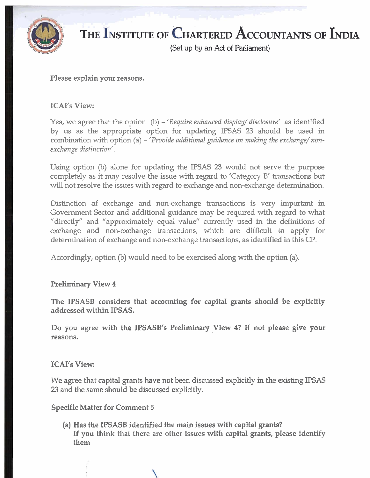

### $\mathcal{D}_{\mathbf{r}}$ THE INSTITUTE OF **CHARTERED ACCOUNTANTS OF INDIA**

(Set up by an **Act** of Parliament)

### Please explain your reasons.

### ICAI's View:

Yes, we agree that the option (b) – 'Require enhanced display/ disclosure' as identified by us as the appropriate option for updating IPSAS 23 should be used in combination with option (a) – *'Provide additional guidance on making the exchange*/non*exchange distinction'.* 

Using option (b) alone for updating the IPSAS 23 would not serve the purpose completely as it may resolve the issue with regard to 'Category B' transactions but will not resolve the issues with regard to exchange and non-exchange determination.

Distinction of exchange and non-exchange transactions is very important in Government Sector and additional guidance may be required with regard to what "directly" and "approximately equal value" currently used in the definitions of exchange and non-exchange transactions, which are difficult to apply for determination of exchange and non-exchange transactions, as identified in this CP.

Accordingly, option (b) would need to be exercised along with the option (a).

### Preliminary View 4

The IPSASB considers that accounting for capital grants should be explicitly addressed within IPSAS.

Do you agree with the IPSASB's Preliminary View **4?** If not please give your reasons.

### ICAI's View:

We agree that capital grants have not been discussed explicitly in the existing IPSAS 23 and the same should be discussed explicitly.

### Specific Matter for Comment 5

(a) Has the IPSASB identified the main issues with capital grants? If you think that there are other issues with capital grants, please identify them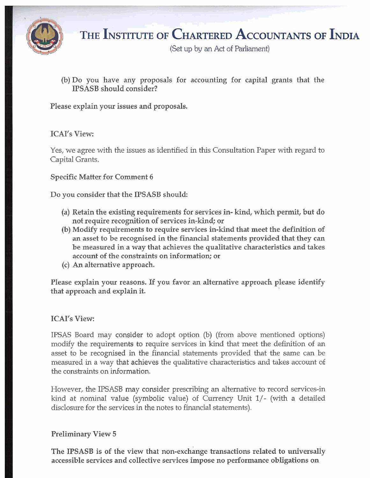

**(Set** up by an **Ad** of Parliament)

(b) Do you have any proposals for accounting for capital grants that the IPSASB should consider?

Please explain your issues and proposals.

### ICAI's View:

Yes, we agree with the issues as identified in this Consultation Paper with regard to Capital Grants.

### Specific Matter for Comment **6**

Do you consider that the IPSASB should:

- (a) Retain the existing requirements for services in- kind, which permit, but do not require recognition of services in-kind; or
- **(b)** Modify requirements to require services in-kind that meet the definition of an asset to be recognised in the financial statements provided that they can be measured in a way that achieves the qualitative characteristics and takes account of the constraints on information; or
- (c) **An** alternative approach.

Please explain your reasons. If you favor **an** alternative approach please identify that approach and explain it.

### ICAI's View:

IPSAS Board may consider to adopt option (b) (from above mentioned options) modify the requirements to require services in kind that meet the definition of an asset to be recognised in the financial statements provided that the same can be measured in a way that achieves the qualitative characteristics and takes account of the constraints on information.

However, the IPSASB may consider prescribing an alternative to record services-in kind at nominal value (symbolic value) of Currency Unit I/- (with a detailed disclosure for the services in the notes to financial statements).

### Preliminary View 5

The IPSASB is of the view that non-exchange transactions related to universally accessible services and collective services impose no performance obligations on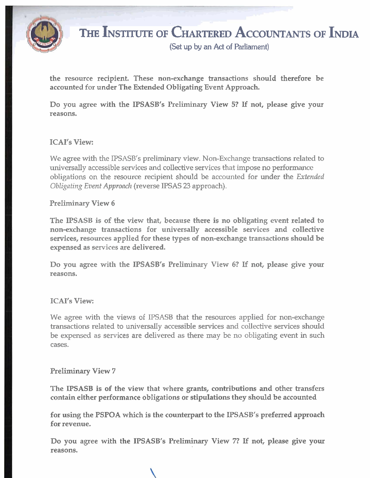

**(Set up by an Act of Parliament)** 

the resource recipient. These non-exchange transactions should therefore be accounted for under The Extended Obligating Event Approach.

Do you agree with the IPSASB's Preliminary View **5?** If not, please give your reasons.

### ICAI's View:

We agree with the IPSASB's preliminary view. Non-Exchange transactions related to universally accessible services and collective services that impose no performance obligations on the resource recipient should be accounted for under the *Extended Obligating Event Appronclt* (reverse **IFSAS** 23 approach).

### Preliminary View *6*

The IPSASB is of the view that, because there is no obligating event related to non-exchange transactions for universally accessible services and collective services, resources applied for these types of non-exchange transactions should be expensed as services are delivered.

Do you agree with the IPSASB's Preliminary View *6?* If not, please give your reasons.

### ICAI's View:

We agree with the views of IPSASB that the resources applied for non-exchange transactions related to universally accessible services and collective services should be expensed as services are delivered as there may be no obligating event in such cases.

### Preliminary View 7

The IPSASB is of the view that where grants, contributions and other transfers contain either performance obligations or stipulations they should be accounted

for using the PSPOA which is the counterpart to the IPSASB's preferred approach for revenue.

Do you agree with the IPSASB's Preliminary View **7?** If not, please give your reasons.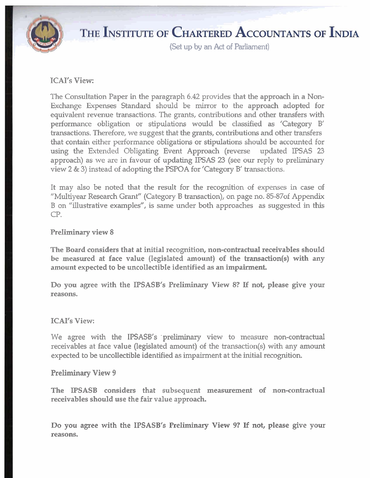

**(Set up** by an **Act** of Parliament)

### ICAI's View:

The Consultation Paper in the paragraph 6.42 provides that the approach in a Non-Exchange Expenses Standard should be mirror to the approach adopted for equivalent revenue transactions. The grants, contributions and other transfers with performance obligation or stipulations would be classified as 'Category B' transactions. Therefore, we suggest that the grants, contributions and other transfers that contain either performance obligations or stipulations should be accounted for using the Extended Obligating Event Approach (reverse updated IPSAS 23 approach) as we are in favour of updating IPSAS 23 (see our reply to preliminary view 2 & 3) instead of adopting the PSPOA for 'Category B' transactions.

It may also be noted that the result for the recognition of expenses in case of "Multiyear Research Grant" (Category B transaction), on page no. 85-87of Appendix B on "illustrative examples", is same under both approaches as suggested in this CP.

### Preliminary view 8

The Board considers that at initial recognition, non-contractual receivables should be measured at face value (legislated amount) of the transaction(s) with any amount expected to be uncollectible identified as an impairment.

Do you agree with the IPSASB's Preliminary View **8?** If not, please give your reasons.

### ICAI's View:

We agree with the IPSASB's preliminary view to measure non-contractual receivables at face value (legislated amount) of the transaction(s) with any amount expected to be uncollectible identified as impairment at the initial recognition.

### Preliminary View 9

The IPSASB considers that subsequent measurement of non-contractual receivables should use the fair value approach.

Do you agree with the IPSASB's Preliminary View **91** If not, please give your reasons.